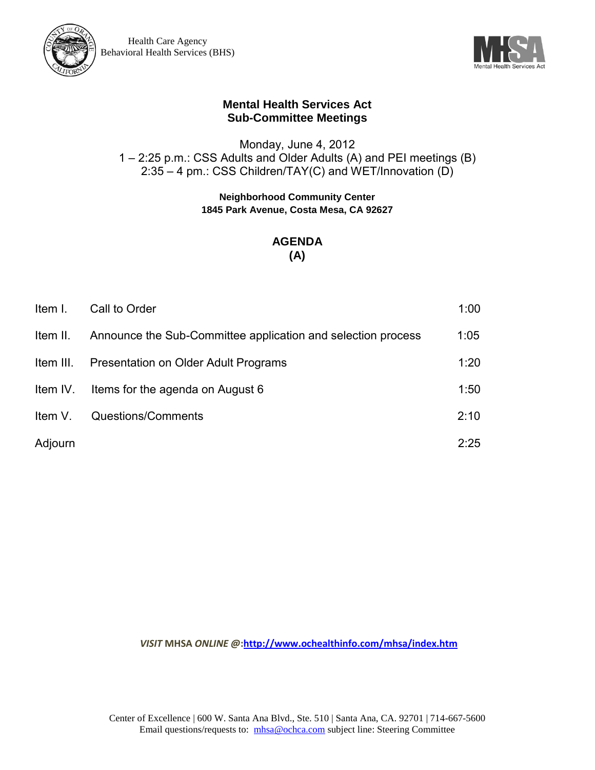



Monday, June 4, 2012 1 – 2:25 p.m.: CSS Adults and Older Adults (A) and PEI meetings (B) 2:35 – 4 pm.: CSS Children/TAY(C) and WET/Innovation (D)

#### **Neighborhood Community Center 1845 Park Avenue, Costa Mesa, CA 92627**

### **AGENDA (A)**

| Item I.   | Call to Order                                                | 1:00 |
|-----------|--------------------------------------------------------------|------|
| Item II.  | Announce the Sub-Committee application and selection process | 1:05 |
| Item III. | Presentation on Older Adult Programs                         | 1:20 |
| Item IV.  | Items for the agenda on August 6                             | 1:50 |
| Item V.   | Questions/Comments                                           | 2:10 |
| Adjourn   |                                                              | 2:25 |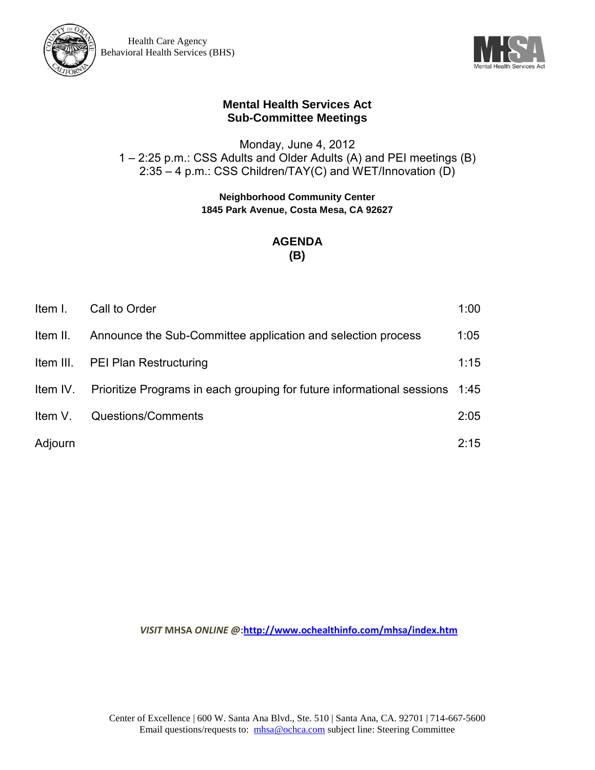



Monday, June 4, 2012 1 – 2:25 p.m.: CSS Adults and Older Adults (A) and PEI meetings (B) 2:35 – 4 p.m.: CSS Children/TAY(C) and WET/Innovation (D)

> **Neighborhood Community Center 1845 Park Avenue, Costa Mesa, CA 92627**

# **AGENDA (B)**

| Item I.  | Call to Order                                                                        | 1:00 |
|----------|--------------------------------------------------------------------------------------|------|
| Item II. | Announce the Sub-Committee application and selection process                         | 1:05 |
|          | Item III. PEI Plan Restructuring                                                     | 1:15 |
|          | Item IV. Prioritize Programs in each grouping for future informational sessions 1:45 |      |
| Item V.  | Questions/Comments                                                                   | 2:05 |
| Adjourn  |                                                                                      | 2:15 |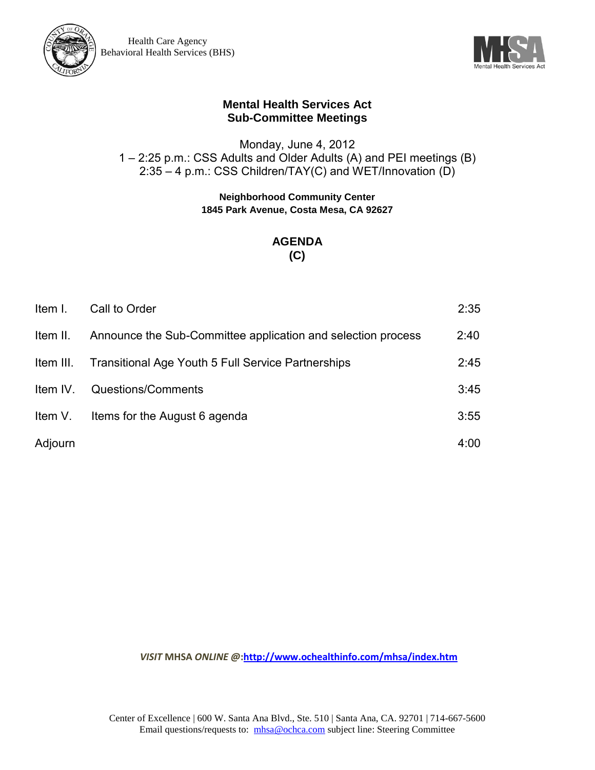



Monday, June 4, 2012 1 – 2:25 p.m.: CSS Adults and Older Adults (A) and PEI meetings (B) 2:35 – 4 p.m.: CSS Children/TAY(C) and WET/Innovation (D)

> **Neighborhood Community Center 1845 Park Avenue, Costa Mesa, CA 92627**

## **AGENDA (C)**

| Item I.   | Call to Order                                                | 2:35 |
|-----------|--------------------------------------------------------------|------|
| Item II.  | Announce the Sub-Committee application and selection process | 2:40 |
| Item III. | <b>Transitional Age Youth 5 Full Service Partnerships</b>    | 2:45 |
| Item IV.  | Questions/Comments                                           | 3:45 |
| Item V.   | Items for the August 6 agenda                                | 3:55 |
| Adjourn   |                                                              | 4:00 |